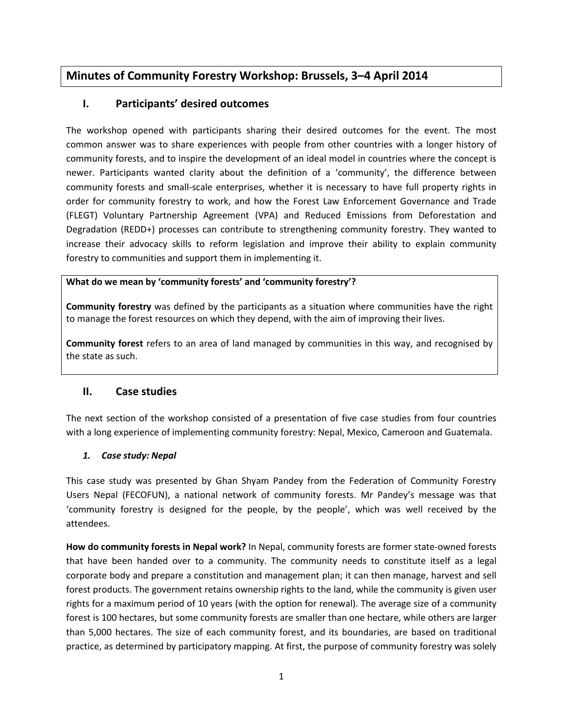# **Minutes of Community Forestry Workshop: Brussels, 3–4 April 2014**

## **I. Participants' desired outcomes**

The workshop opened with participants sharing their desired outcomes for the event. The most common answer was to share experiences with people from other countries with a longer history of community forests, and to inspire the development of an ideal model in countries where the concept is newer. Participants wanted clarity about the definition of a 'community', the difference between community forests and small-scale enterprises, whether it is necessary to have full property rights in order for community forestry to work, and how the Forest Law Enforcement Governance and Trade (FLEGT) Voluntary Partnership Agreement (VPA) and Reduced Emissions from Deforestation and Degradation (REDD+) processes can contribute to strengthening community forestry. They wanted to increase their advocacy skills to reform legislation and improve their ability to explain community forestry to communities and support them in implementing it.

### **What do we mean by 'community forests' and 'community forestry'?**

**Community forestry** was defined by the participants as a situation where communities have the right to manage the forest resources on which they depend, with the aim of improving their lives.

**Community forest** refers to an area of land managed by communities in this way, and recognised by the state as such.

### **II. Case studies**

The next section of the workshop consisted of a presentation of five case studies from four countries with a long experience of implementing community forestry: Nepal, Mexico, Cameroon and Guatemala.

### *1. Case study: Nepal*

This case study was presented by Ghan Shyam Pandey from the Federation of Community Forestry Users Nepal (FECOFUN), a national network of community forests. Mr Pandey's message was that 'community forestry is designed for the people, by the people', which was well received by the attendees.

**How do community forests in Nepal work?** In Nepal, community forests are former state-owned forests that have been handed over to a community. The community needs to constitute itself as a legal corporate body and prepare a constitution and management plan; it can then manage, harvest and sell forest products. The government retains ownership rights to the land, while the community is given user rights for a maximum period of 10 years (with the option for renewal). The average size of a community forest is 100 hectares, but some community forests are smaller than one hectare, while others are larger than 5,000 hectares. The size of each community forest, and its boundaries, are based on traditional practice, as determined by participatory mapping. At first, the purpose of community forestry was solely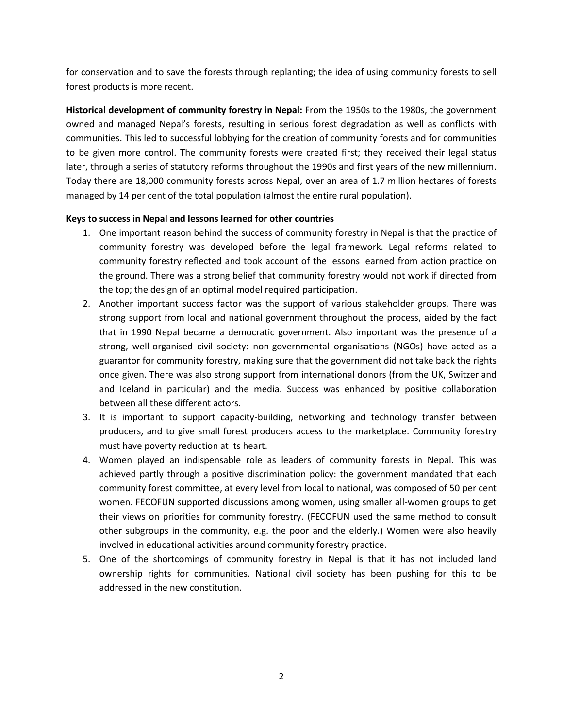for conservation and to save the forests through replanting; the idea of using community forests to sell forest products is more recent.

**Historical development of community forestry in Nepal:** From the 1950s to the 1980s, the government owned and managed Nepal's forests, resulting in serious forest degradation as well as conflicts with communities. This led to successful lobbying for the creation of community forests and for communities to be given more control. The community forests were created first; they received their legal status later, through a series of statutory reforms throughout the 1990s and first years of the new millennium. Today there are 18,000 community forests across Nepal, over an area of 1.7 million hectares of forests managed by 14 per cent of the total population (almost the entire rural population).

#### **Keys to success in Nepal and lessons learned for other countries**

- 1. One important reason behind the success of community forestry in Nepal is that the practice of community forestry was developed before the legal framework. Legal reforms related to community forestry reflected and took account of the lessons learned from action practice on the ground. There was a strong belief that community forestry would not work if directed from the top; the design of an optimal model required participation.
- 2. Another important success factor was the support of various stakeholder groups. There was strong support from local and national government throughout the process, aided by the fact that in 1990 Nepal became a democratic government. Also important was the presence of a strong, well-organised civil society: non-governmental organisations (NGOs) have acted as a guarantor for community forestry, making sure that the government did not take back the rights once given. There was also strong support from international donors (from the UK, Switzerland and Iceland in particular) and the media. Success was enhanced by positive collaboration between all these different actors.
- 3. It is important to support capacity-building, networking and technology transfer between producers, and to give small forest producers access to the marketplace. Community forestry must have poverty reduction at its heart.
- 4. Women played an indispensable role as leaders of community forests in Nepal. This was achieved partly through a positive discrimination policy: the government mandated that each community forest committee, at every level from local to national, was composed of 50 per cent women. FECOFUN supported discussions among women, using smaller all-women groups to get their views on priorities for community forestry. (FECOFUN used the same method to consult other subgroups in the community, e.g. the poor and the elderly.) Women were also heavily involved in educational activities around community forestry practice.
- 5. One of the shortcomings of community forestry in Nepal is that it has not included land ownership rights for communities. National civil society has been pushing for this to be addressed in the new constitution.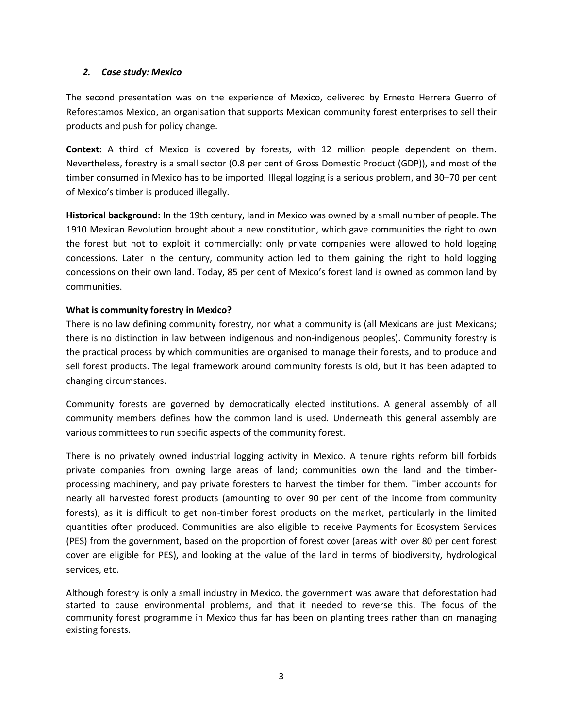#### *2. Case study: Mexico*

The second presentation was on the experience of Mexico, delivered by Ernesto Herrera Guerro of Reforestamos Mexico, an organisation that supports Mexican community forest enterprises to sell their products and push for policy change.

**Context:** A third of Mexico is covered by forests, with 12 million people dependent on them. Nevertheless, forestry is a small sector (0.8 per cent of Gross Domestic Product (GDP)), and most of the timber consumed in Mexico has to be imported. Illegal logging is a serious problem, and 30–70 per cent of Mexico's timber is produced illegally.

**Historical background:** In the 19th century, land in Mexico was owned by a small number of people. The 1910 Mexican Revolution brought about a new constitution, which gave communities the right to own the forest but not to exploit it commercially: only private companies were allowed to hold logging concessions. Later in the century, community action led to them gaining the right to hold logging concessions on their own land. Today, 85 per cent of Mexico's forest land is owned as common land by communities.

#### **What is community forestry in Mexico?**

There is no law defining community forestry, nor what a community is (all Mexicans are just Mexicans; there is no distinction in law between indigenous and non-indigenous peoples). Community forestry is the practical process by which communities are organised to manage their forests, and to produce and sell forest products. The legal framework around community forests is old, but it has been adapted to changing circumstances.

Community forests are governed by democratically elected institutions. A general assembly of all community members defines how the common land is used. Underneath this general assembly are various committees to run specific aspects of the community forest.

There is no privately owned industrial logging activity in Mexico. A tenure rights reform bill forbids private companies from owning large areas of land; communities own the land and the timberprocessing machinery, and pay private foresters to harvest the timber for them. Timber accounts for nearly all harvested forest products (amounting to over 90 per cent of the income from community forests), as it is difficult to get non-timber forest products on the market, particularly in the limited quantities often produced. Communities are also eligible to receive Payments for Ecosystem Services (PES) from the government, based on the proportion of forest cover (areas with over 80 per cent forest cover are eligible for PES), and looking at the value of the land in terms of biodiversity, hydrological services, etc.

Although forestry is only a small industry in Mexico, the government was aware that deforestation had started to cause environmental problems, and that it needed to reverse this. The focus of the community forest programme in Mexico thus far has been on planting trees rather than on managing existing forests.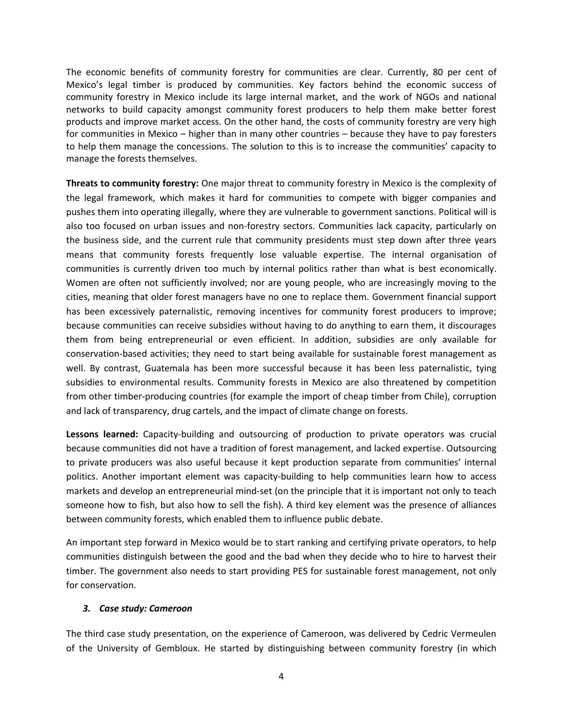The economic benefits of community forestry for communities are clear. Currently, 80 per cent of Mexico's legal timber is produced by communities. Key factors behind the economic success of community forestry in Mexico include its large internal market, and the work of NGOs and national networks to build capacity amongst community forest producers to help them make better forest products and improve market access. On the other hand, the costs of community forestry are very high for communities in Mexico – higher than in many other countries – because they have to pay foresters to help them manage the concessions. The solution to this is to increase the communities' capacity to manage the forests themselves.

**Threats to community forestry:** One major threat to community forestry in Mexico is the complexity of the legal framework, which makes it hard for communities to compete with bigger companies and pushes them into operating illegally, where they are vulnerable to government sanctions. Political will is also too focused on urban issues and non-forestry sectors. Communities lack capacity, particularly on the business side, and the current rule that community presidents must step down after three years means that community forests frequently lose valuable expertise. The internal organisation of communities is currently driven too much by internal politics rather than what is best economically. Women are often not sufficiently involved; nor are young people, who are increasingly moving to the cities, meaning that older forest managers have no one to replace them. Government financial support has been excessively paternalistic, removing incentives for community forest producers to improve; because communities can receive subsidies without having to do anything to earn them, it discourages them from being entrepreneurial or even efficient. In addition, subsidies are only available for conservation-based activities; they need to start being available for sustainable forest management as well. By contrast, Guatemala has been more successful because it has been less paternalistic, tying subsidies to environmental results. Community forests in Mexico are also threatened by competition from other timber-producing countries (for example the import of cheap timber from Chile), corruption and lack of transparency, drug cartels, and the impact of climate change on forests.

**Lessons learned:** Capacity-building and outsourcing of production to private operators was crucial because communities did not have a tradition of forest management, and lacked expertise. Outsourcing to private producers was also useful because it kept production separate from communities' internal politics. Another important element was capacity-building to help communities learn how to access markets and develop an entrepreneurial mind-set (on the principle that it is important not only to teach someone how to fish, but also how to sell the fish). A third key element was the presence of alliances between community forests, which enabled them to influence public debate.

An important step forward in Mexico would be to start ranking and certifying private operators, to help communities distinguish between the good and the bad when they decide who to hire to harvest their timber. The government also needs to start providing PES for sustainable forest management, not only for conservation.

#### *3. Case study: Cameroon*

The third case study presentation, on the experience of Cameroon, was delivered by Cedric Vermeulen of the University of Gembloux. He started by distinguishing between community forestry (in which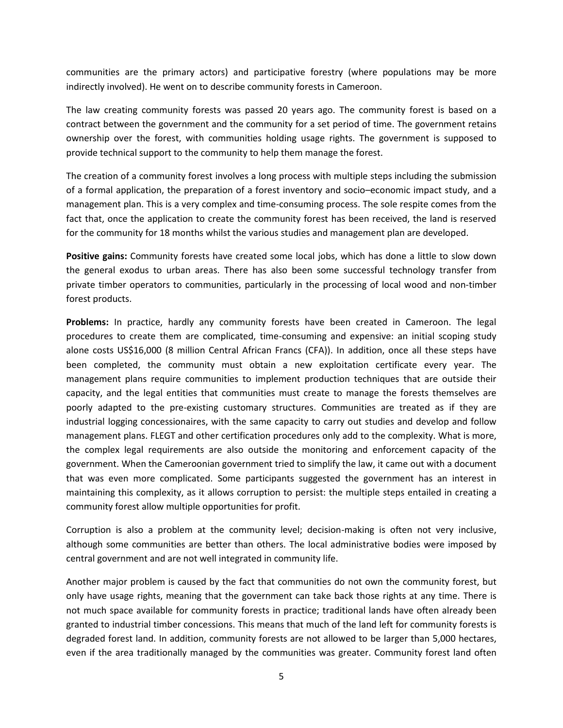communities are the primary actors) and participative forestry (where populations may be more indirectly involved). He went on to describe community forests in Cameroon.

The law creating community forests was passed 20 years ago. The community forest is based on a contract between the government and the community for a set period of time. The government retains ownership over the forest, with communities holding usage rights. The government is supposed to provide technical support to the community to help them manage the forest.

The creation of a community forest involves a long process with multiple steps including the submission of a formal application, the preparation of a forest inventory and socio–economic impact study, and a management plan. This is a very complex and time-consuming process. The sole respite comes from the fact that, once the application to create the community forest has been received, the land is reserved for the community for 18 months whilst the various studies and management plan are developed.

**Positive gains:** Community forests have created some local jobs, which has done a little to slow down the general exodus to urban areas. There has also been some successful technology transfer from private timber operators to communities, particularly in the processing of local wood and non-timber forest products.

**Problems:** In practice, hardly any community forests have been created in Cameroon. The legal procedures to create them are complicated, time-consuming and expensive: an initial scoping study alone costs US\$16,000 (8 million Central African Francs (CFA)). In addition, once all these steps have been completed, the community must obtain a new exploitation certificate every year. The management plans require communities to implement production techniques that are outside their capacity, and the legal entities that communities must create to manage the forests themselves are poorly adapted to the pre-existing customary structures. Communities are treated as if they are industrial logging concessionaires, with the same capacity to carry out studies and develop and follow management plans. FLEGT and other certification procedures only add to the complexity. What is more, the complex legal requirements are also outside the monitoring and enforcement capacity of the government. When the Cameroonian government tried to simplify the law, it came out with a document that was even more complicated. Some participants suggested the government has an interest in maintaining this complexity, as it allows corruption to persist: the multiple steps entailed in creating a community forest allow multiple opportunities for profit.

Corruption is also a problem at the community level; decision-making is often not very inclusive, although some communities are better than others. The local administrative bodies were imposed by central government and are not well integrated in community life.

Another major problem is caused by the fact that communities do not own the community forest, but only have usage rights, meaning that the government can take back those rights at any time. There is not much space available for community forests in practice; traditional lands have often already been granted to industrial timber concessions. This means that much of the land left for community forests is degraded forest land. In addition, community forests are not allowed to be larger than 5,000 hectares, even if the area traditionally managed by the communities was greater. Community forest land often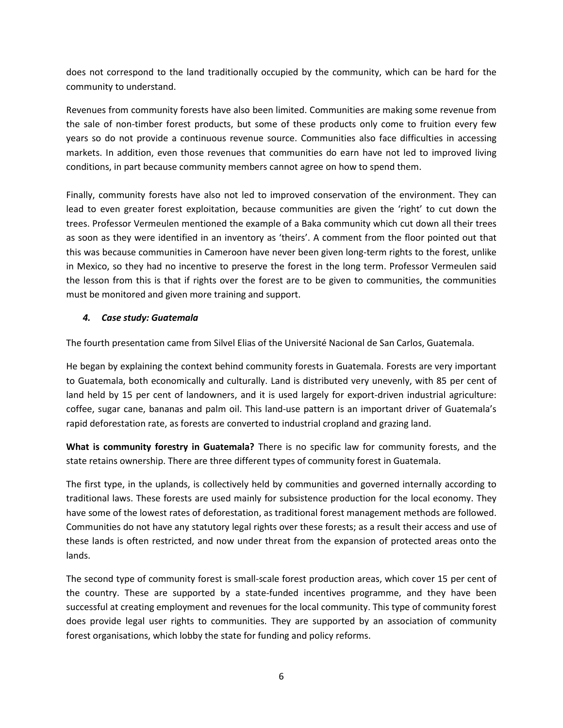does not correspond to the land traditionally occupied by the community, which can be hard for the community to understand.

Revenues from community forests have also been limited. Communities are making some revenue from the sale of non-timber forest products, but some of these products only come to fruition every few years so do not provide a continuous revenue source. Communities also face difficulties in accessing markets. In addition, even those revenues that communities do earn have not led to improved living conditions, in part because community members cannot agree on how to spend them.

Finally, community forests have also not led to improved conservation of the environment. They can lead to even greater forest exploitation, because communities are given the 'right' to cut down the trees. Professor Vermeulen mentioned the example of a Baka community which cut down all their trees as soon as they were identified in an inventory as 'theirs'. A comment from the floor pointed out that this was because communities in Cameroon have never been given long-term rights to the forest, unlike in Mexico, so they had no incentive to preserve the forest in the long term. Professor Vermeulen said the lesson from this is that if rights over the forest are to be given to communities, the communities must be monitored and given more training and support.

#### *4. Case study: Guatemala*

The fourth presentation came from Silvel Elias of the Université Nacional de San Carlos, Guatemala.

He began by explaining the context behind community forests in Guatemala. Forests are very important to Guatemala, both economically and culturally. Land is distributed very unevenly, with 85 per cent of land held by 15 per cent of landowners, and it is used largely for export-driven industrial agriculture: coffee, sugar cane, bananas and palm oil. This land-use pattern is an important driver of Guatemala's rapid deforestation rate, as forests are converted to industrial cropland and grazing land.

**What is community forestry in Guatemala?** There is no specific law for community forests, and the state retains ownership. There are three different types of community forest in Guatemala.

The first type, in the uplands, is collectively held by communities and governed internally according to traditional laws. These forests are used mainly for subsistence production for the local economy. They have some of the lowest rates of deforestation, as traditional forest management methods are followed. Communities do not have any statutory legal rights over these forests; as a result their access and use of these lands is often restricted, and now under threat from the expansion of protected areas onto the lands.

The second type of community forest is small-scale forest production areas, which cover 15 per cent of the country. These are supported by a state-funded incentives programme, and they have been successful at creating employment and revenues for the local community. This type of community forest does provide legal user rights to communities. They are supported by an association of community forest organisations, which lobby the state for funding and policy reforms.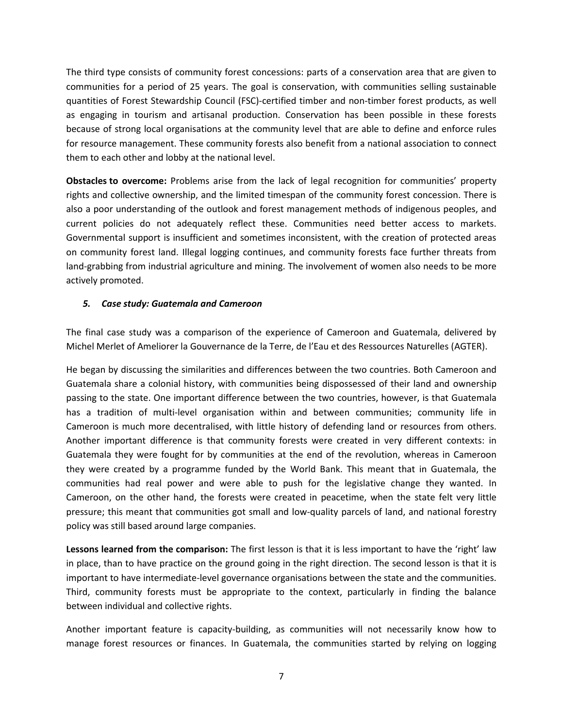The third type consists of community forest concessions: parts of a conservation area that are given to communities for a period of 25 years. The goal is conservation, with communities selling sustainable quantities of Forest Stewardship Council (FSC)-certified timber and non-timber forest products, as well as engaging in tourism and artisanal production. Conservation has been possible in these forests because of strong local organisations at the community level that are able to define and enforce rules for resource management. These community forests also benefit from a national association to connect them to each other and lobby at the national level.

**Obstacles to overcome:** Problems arise from the lack of legal recognition for communities' property rights and collective ownership, and the limited timespan of the community forest concession. There is also a poor understanding of the outlook and forest management methods of indigenous peoples, and current policies do not adequately reflect these. Communities need better access to markets. Governmental support is insufficient and sometimes inconsistent, with the creation of protected areas on community forest land. Illegal logging continues, and community forests face further threats from land-grabbing from industrial agriculture and mining. The involvement of women also needs to be more actively promoted.

#### *5. Case study: Guatemala and Cameroon*

The final case study was a comparison of the experience of Cameroon and Guatemala, delivered by Michel Merlet of Ameliorer la Gouvernance de la Terre, de l'Eau et des Ressources Naturelles (AGTER).

He began by discussing the similarities and differences between the two countries. Both Cameroon and Guatemala share a colonial history, with communities being dispossessed of their land and ownership passing to the state. One important difference between the two countries, however, is that Guatemala has a tradition of multi-level organisation within and between communities; community life in Cameroon is much more decentralised, with little history of defending land or resources from others. Another important difference is that community forests were created in very different contexts: in Guatemala they were fought for by communities at the end of the revolution, whereas in Cameroon they were created by a programme funded by the World Bank. This meant that in Guatemala, the communities had real power and were able to push for the legislative change they wanted. In Cameroon, on the other hand, the forests were created in peacetime, when the state felt very little pressure; this meant that communities got small and low-quality parcels of land, and national forestry policy was still based around large companies.

**Lessons learned from the comparison:** The first lesson is that it is less important to have the 'right' law in place, than to have practice on the ground going in the right direction. The second lesson is that it is important to have intermediate-level governance organisations between the state and the communities. Third, community forests must be appropriate to the context, particularly in finding the balance between individual and collective rights.

Another important feature is capacity-building, as communities will not necessarily know how to manage forest resources or finances. In Guatemala, the communities started by relying on logging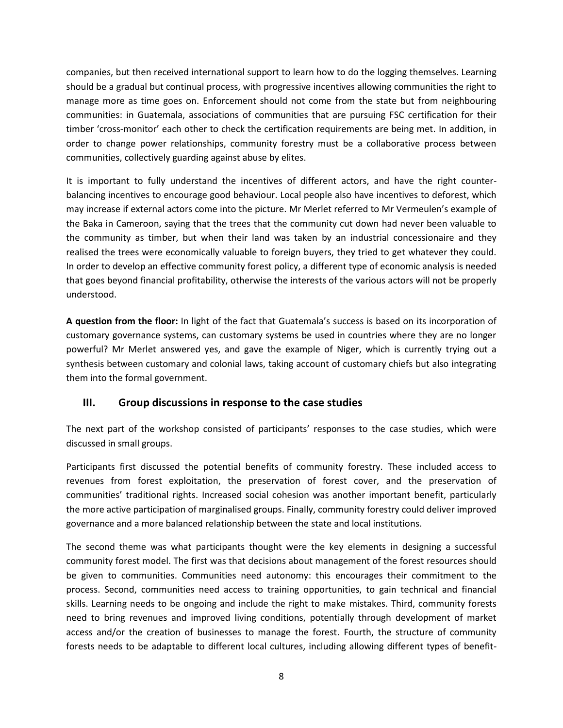companies, but then received international support to learn how to do the logging themselves. Learning should be a gradual but continual process, with progressive incentives allowing communities the right to manage more as time goes on. Enforcement should not come from the state but from neighbouring communities: in Guatemala, associations of communities that are pursuing FSC certification for their timber 'cross-monitor' each other to check the certification requirements are being met. In addition, in order to change power relationships, community forestry must be a collaborative process between communities, collectively guarding against abuse by elites.

It is important to fully understand the incentives of different actors, and have the right counterbalancing incentives to encourage good behaviour. Local people also have incentives to deforest, which may increase if external actors come into the picture. Mr Merlet referred to Mr Vermeulen's example of the Baka in Cameroon, saying that the trees that the community cut down had never been valuable to the community as timber, but when their land was taken by an industrial concessionaire and they realised the trees were economically valuable to foreign buyers, they tried to get whatever they could. In order to develop an effective community forest policy, a different type of economic analysis is needed that goes beyond financial profitability, otherwise the interests of the various actors will not be properly understood.

**A question from the floor:** In light of the fact that Guatemala's success is based on its incorporation of customary governance systems, can customary systems be used in countries where they are no longer powerful? Mr Merlet answered yes, and gave the example of Niger, which is currently trying out a synthesis between customary and colonial laws, taking account of customary chiefs but also integrating them into the formal government.

### **III. Group discussions in response to the case studies**

The next part of the workshop consisted of participants' responses to the case studies, which were discussed in small groups.

Participants first discussed the potential benefits of community forestry. These included access to revenues from forest exploitation, the preservation of forest cover, and the preservation of communities' traditional rights. Increased social cohesion was another important benefit, particularly the more active participation of marginalised groups. Finally, community forestry could deliver improved governance and a more balanced relationship between the state and local institutions.

The second theme was what participants thought were the key elements in designing a successful community forest model. The first was that decisions about management of the forest resources should be given to communities. Communities need autonomy: this encourages their commitment to the process. Second, communities need access to training opportunities, to gain technical and financial skills. Learning needs to be ongoing and include the right to make mistakes. Third, community forests need to bring revenues and improved living conditions, potentially through development of market access and/or the creation of businesses to manage the forest. Fourth, the structure of community forests needs to be adaptable to different local cultures, including allowing different types of benefit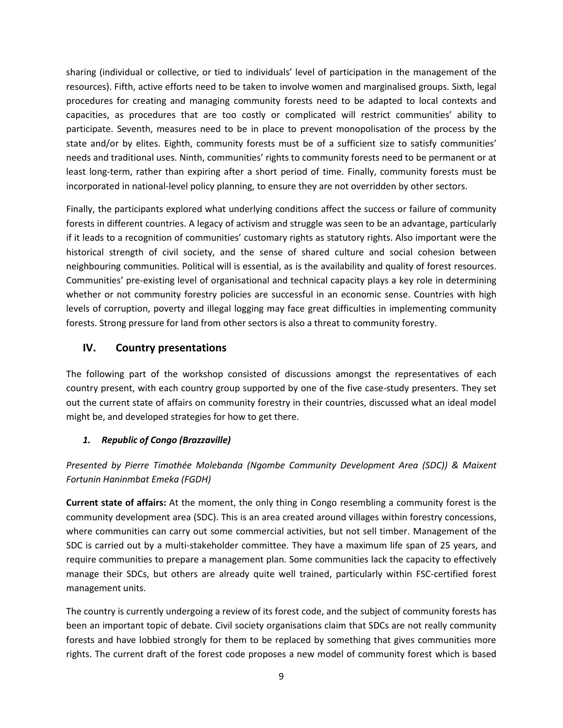sharing (individual or collective, or tied to individuals' level of participation in the management of the resources). Fifth, active efforts need to be taken to involve women and marginalised groups. Sixth, legal procedures for creating and managing community forests need to be adapted to local contexts and capacities, as procedures that are too costly or complicated will restrict communities' ability to participate. Seventh, measures need to be in place to prevent monopolisation of the process by the state and/or by elites. Eighth, community forests must be of a sufficient size to satisfy communities' needs and traditional uses. Ninth, communities' rights to community forests need to be permanent or at least long-term, rather than expiring after a short period of time. Finally, community forests must be incorporated in national-level policy planning, to ensure they are not overridden by other sectors.

Finally, the participants explored what underlying conditions affect the success or failure of community forests in different countries. A legacy of activism and struggle was seen to be an advantage, particularly if it leads to a recognition of communities' customary rights as statutory rights. Also important were the historical strength of civil society, and the sense of shared culture and social cohesion between neighbouring communities. Political will is essential, as is the availability and quality of forest resources. Communities' pre-existing level of organisational and technical capacity plays a key role in determining whether or not community forestry policies are successful in an economic sense. Countries with high levels of corruption, poverty and illegal logging may face great difficulties in implementing community forests. Strong pressure for land from other sectors is also a threat to community forestry.

# **IV. Country presentations**

The following part of the workshop consisted of discussions amongst the representatives of each country present, with each country group supported by one of the five case-study presenters. They set out the current state of affairs on community forestry in their countries, discussed what an ideal model might be, and developed strategies for how to get there.

### *1. Republic of Congo (Brazzaville)*

# *Presented by Pierre Timothée Molebanda (Ngombe Community Development Area (SDC)) & Maixent Fortunin Haninmbat Emeka (FGDH)*

**Current state of affairs:** At the moment, the only thing in Congo resembling a community forest is the community development area (SDC). This is an area created around villages within forestry concessions, where communities can carry out some commercial activities, but not sell timber. Management of the SDC is carried out by a multi-stakeholder committee. They have a maximum life span of 25 years, and require communities to prepare a management plan. Some communities lack the capacity to effectively manage their SDCs, but others are already quite well trained, particularly within FSC-certified forest management units.

The country is currently undergoing a review of its forest code, and the subject of community forests has been an important topic of debate. Civil society organisations claim that SDCs are not really community forests and have lobbied strongly for them to be replaced by something that gives communities more rights. The current draft of the forest code proposes a new model of community forest which is based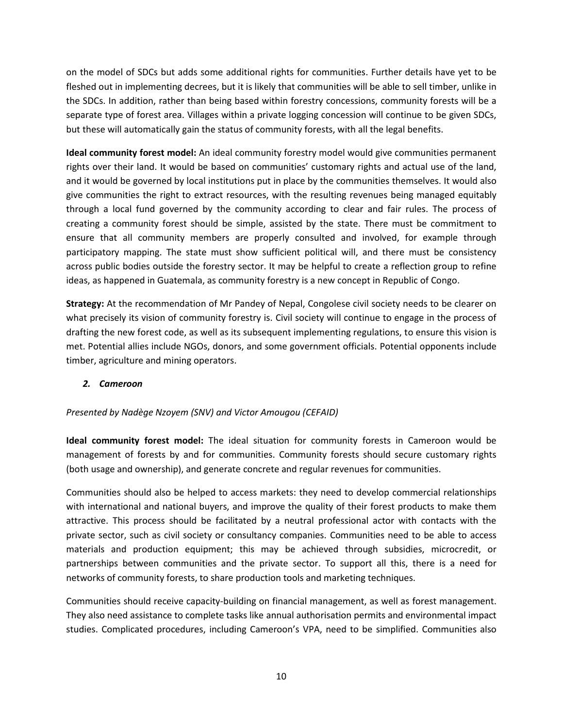on the model of SDCs but adds some additional rights for communities. Further details have yet to be fleshed out in implementing decrees, but it is likely that communities will be able to sell timber, unlike in the SDCs. In addition, rather than being based within forestry concessions, community forests will be a separate type of forest area. Villages within a private logging concession will continue to be given SDCs, but these will automatically gain the status of community forests, with all the legal benefits.

**Ideal community forest model:** An ideal community forestry model would give communities permanent rights over their land. It would be based on communities' customary rights and actual use of the land, and it would be governed by local institutions put in place by the communities themselves. It would also give communities the right to extract resources, with the resulting revenues being managed equitably through a local fund governed by the community according to clear and fair rules. The process of creating a community forest should be simple, assisted by the state. There must be commitment to ensure that all community members are properly consulted and involved, for example through participatory mapping. The state must show sufficient political will, and there must be consistency across public bodies outside the forestry sector. It may be helpful to create a reflection group to refine ideas, as happened in Guatemala, as community forestry is a new concept in Republic of Congo.

**Strategy:** At the recommendation of Mr Pandey of Nepal, Congolese civil society needs to be clearer on what precisely its vision of community forestry is. Civil society will continue to engage in the process of drafting the new forest code, as well as its subsequent implementing regulations, to ensure this vision is met. Potential allies include NGOs, donors, and some government officials. Potential opponents include timber, agriculture and mining operators.

### *2. Cameroon*

#### *Presented by Nadège Nzoyem (SNV) and Victor Amougou (CEFAID)*

**Ideal community forest model:** The ideal situation for community forests in Cameroon would be management of forests by and for communities. Community forests should secure customary rights (both usage and ownership), and generate concrete and regular revenues for communities.

Communities should also be helped to access markets: they need to develop commercial relationships with international and national buyers, and improve the quality of their forest products to make them attractive. This process should be facilitated by a neutral professional actor with contacts with the private sector, such as civil society or consultancy companies. Communities need to be able to access materials and production equipment; this may be achieved through subsidies, microcredit, or partnerships between communities and the private sector. To support all this, there is a need for networks of community forests, to share production tools and marketing techniques.

Communities should receive capacity-building on financial management, as well as forest management. They also need assistance to complete tasks like annual authorisation permits and environmental impact studies. Complicated procedures, including Cameroon's VPA, need to be simplified. Communities also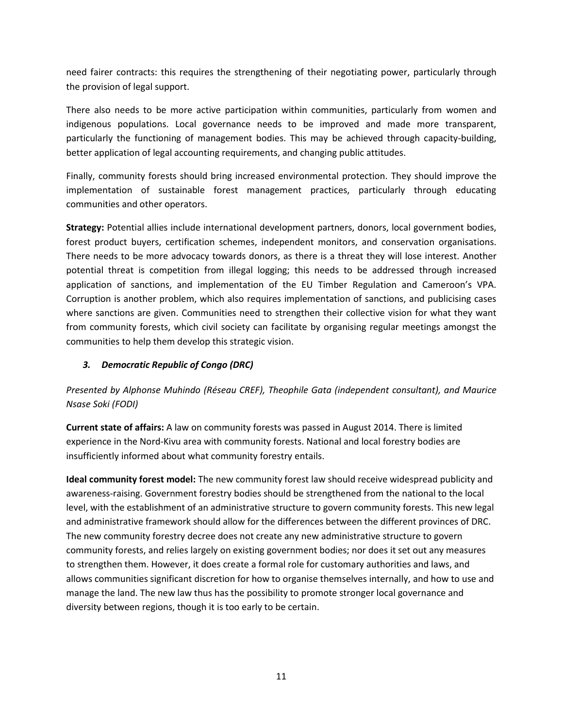need fairer contracts: this requires the strengthening of their negotiating power, particularly through the provision of legal support.

There also needs to be more active participation within communities, particularly from women and indigenous populations. Local governance needs to be improved and made more transparent, particularly the functioning of management bodies. This may be achieved through capacity-building, better application of legal accounting requirements, and changing public attitudes.

Finally, community forests should bring increased environmental protection. They should improve the implementation of sustainable forest management practices, particularly through educating communities and other operators.

**Strategy:** Potential allies include international development partners, donors, local government bodies, forest product buyers, certification schemes, independent monitors, and conservation organisations. There needs to be more advocacy towards donors, as there is a threat they will lose interest. Another potential threat is competition from illegal logging; this needs to be addressed through increased application of sanctions, and implementation of the EU Timber Regulation and Cameroon's VPA. Corruption is another problem, which also requires implementation of sanctions, and publicising cases where sanctions are given. Communities need to strengthen their collective vision for what they want from community forests, which civil society can facilitate by organising regular meetings amongst the communities to help them develop this strategic vision.

### *3. Democratic Republic of Congo (DRC)*

# *Presented by Alphonse Muhindo (Réseau CREF), Theophile Gata (independent consultant), and Maurice Nsase Soki (FODI)*

**Current state of affairs:** A law on community forests was passed in August 2014. There is limited experience in the Nord-Kivu area with community forests. National and local forestry bodies are insufficiently informed about what community forestry entails.

**Ideal community forest model:** The new community forest law should receive widespread publicity and awareness-raising. Government forestry bodies should be strengthened from the national to the local level, with the establishment of an administrative structure to govern community forests. This new legal and administrative framework should allow for the differences between the different provinces of DRC. The new community forestry decree does not create any new administrative structure to govern community forests, and relies largely on existing government bodies; nor does it set out any measures to strengthen them. However, it does create a formal role for customary authorities and laws, and allows communities significant discretion for how to organise themselves internally, and how to use and manage the land. The new law thus has the possibility to promote stronger local governance and diversity between regions, though it is too early to be certain.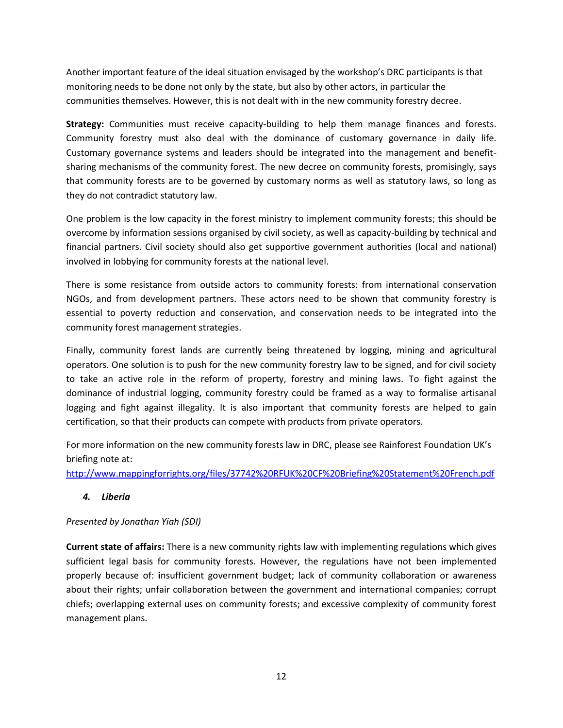Another important feature of the ideal situation envisaged by the workshop's DRC participants is that monitoring needs to be done not only by the state, but also by other actors, in particular the communities themselves. However, this is not dealt with in the new community forestry decree.

**Strategy:** Communities must receive capacity-building to help them manage finances and forests. Community forestry must also deal with the dominance of customary governance in daily life. Customary governance systems and leaders should be integrated into the management and benefitsharing mechanisms of the community forest. The new decree on community forests, promisingly, says that community forests are to be governed by customary norms as well as statutory laws, so long as they do not contradict statutory law.

One problem is the low capacity in the forest ministry to implement community forests; this should be overcome by information sessions organised by civil society, as well as capacity-building by technical and financial partners. Civil society should also get supportive government authorities (local and national) involved in lobbying for community forests at the national level.

There is some resistance from outside actors to community forests: from international conservation NGOs, and from development partners. These actors need to be shown that community forestry is essential to poverty reduction and conservation, and conservation needs to be integrated into the community forest management strategies.

Finally, community forest lands are currently being threatened by logging, mining and agricultural operators. One solution is to push for the new community forestry law to be signed, and for civil society to take an active role in the reform of property, forestry and mining laws. To fight against the dominance of industrial logging, community forestry could be framed as a way to formalise artisanal logging and fight against illegality. It is also important that community forests are helped to gain certification, so that their products can compete with products from private operators.

For more information on the new community forests law in DRC, please see Rainforest Foundation UK's briefing note at:

<http://www.mappingforrights.org/files/37742%20RFUK%20CF%20Briefing%20Statement%20French.pdf>

### *4. Liberia*

### *Presented by Jonathan Yiah (SDI)*

**Current state of affairs:** There is a new community rights law with implementing regulations which gives sufficient legal basis for community forests. However, the regulations have not been implemented properly because of: **i**nsufficient government budget; lack of community collaboration or awareness about their rights; unfair collaboration between the government and international companies; corrupt chiefs; overlapping external uses on community forests; and excessive complexity of community forest management plans.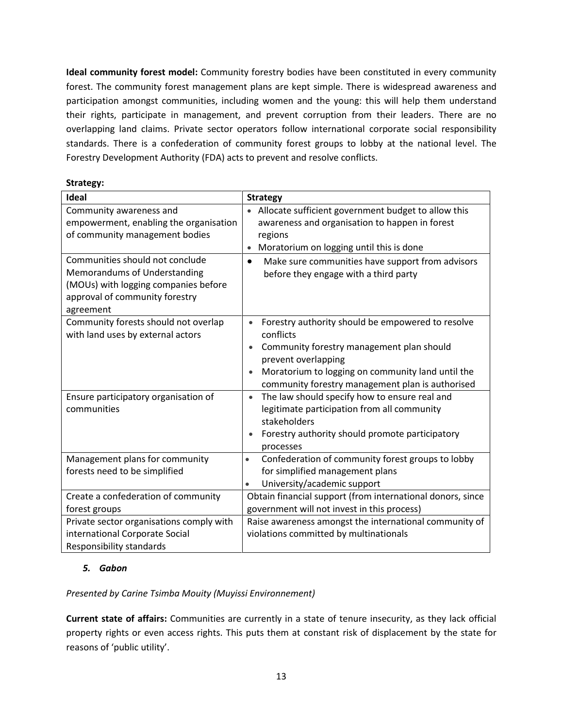**Ideal community forest model:** Community forestry bodies have been constituted in every community forest. The community forest management plans are kept simple. There is widespread awareness and participation amongst communities, including women and the young: this will help them understand their rights, participate in management, and prevent corruption from their leaders. There are no overlapping land claims. Private sector operators follow international corporate social responsibility standards. There is a confederation of community forest groups to lobby at the national level. The Forestry Development Authority (FDA) acts to prevent and resolve conflicts.

| Strategy: |
|-----------|
|-----------|

| <b>Ideal</b>                                                                                                                                           | <b>Strategy</b>                                                                                                                                                                                                                                          |  |
|--------------------------------------------------------------------------------------------------------------------------------------------------------|----------------------------------------------------------------------------------------------------------------------------------------------------------------------------------------------------------------------------------------------------------|--|
| Community awareness and<br>empowerment, enabling the organisation<br>of community management bodies                                                    | Allocate sufficient government budget to allow this<br>$\bullet$<br>awareness and organisation to happen in forest<br>regions<br>Moratorium on logging until this is done                                                                                |  |
| Communities should not conclude<br>Memorandums of Understanding<br>(MOUs) with logging companies before<br>approval of community forestry<br>agreement | Make sure communities have support from advisors<br>$\bullet$<br>before they engage with a third party                                                                                                                                                   |  |
| Community forests should not overlap<br>with land uses by external actors                                                                              | Forestry authority should be empowered to resolve<br>$\bullet$<br>conflicts<br>Community forestry management plan should<br>prevent overlapping<br>Moratorium to logging on community land until the<br>community forestry management plan is authorised |  |
| Ensure participatory organisation of<br>communities                                                                                                    | The law should specify how to ensure real and<br>$\bullet$<br>legitimate participation from all community<br>stakeholders<br>Forestry authority should promote participatory<br>processes                                                                |  |
| Management plans for community<br>forests need to be simplified                                                                                        | Confederation of community forest groups to lobby<br>$\bullet$<br>for simplified management plans<br>University/academic support<br>$\bullet$                                                                                                            |  |
| Create a confederation of community<br>forest groups                                                                                                   | Obtain financial support (from international donors, since<br>government will not invest in this process)                                                                                                                                                |  |
| Private sector organisations comply with<br>international Corporate Social<br>Responsibility standards                                                 | Raise awareness amongst the international community of<br>violations committed by multinationals                                                                                                                                                         |  |

### *5. Gabon*

### *Presented by Carine Tsimba Mouity (Muyissi Environnement)*

**Current state of affairs:** Communities are currently in a state of tenure insecurity, as they lack official property rights or even access rights. This puts them at constant risk of displacement by the state for reasons of 'public utility'.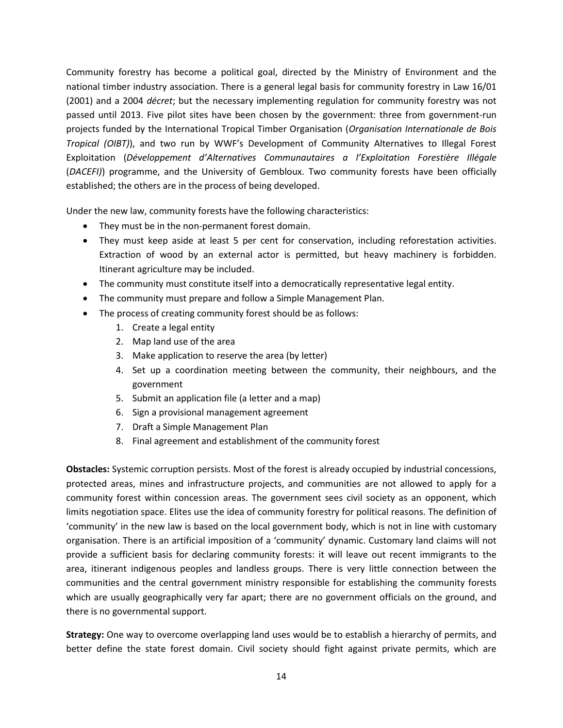Community forestry has become a political goal, directed by the Ministry of Environment and the national timber industry association. There is a general legal basis for community forestry in Law 16/01 (2001) and a 2004 *décret*; but the necessary implementing regulation for community forestry was not passed until 2013. Five pilot sites have been chosen by the government: three from government-run projects funded by the International Tropical Timber Organisation (*Organisation Internationale de Bois Tropical (OIBT)*), and two run by WWF's Development of Community Alternatives to Illegal Forest Exploitation (*Développement d'Alternatives Communautaires a l'Exploitation Forestière Illégale* (*DACEFI)*) programme, and the University of Gembloux. Two community forests have been officially established; the others are in the process of being developed.

Under the new law, community forests have the following characteristics:

- They must be in the non-permanent forest domain.
- They must keep aside at least 5 per cent for conservation, including reforestation activities. Extraction of wood by an external actor is permitted, but heavy machinery is forbidden. Itinerant agriculture may be included.
- The community must constitute itself into a democratically representative legal entity.
- The community must prepare and follow a Simple Management Plan.
- The process of creating community forest should be as follows:
	- 1. Create a legal entity
	- 2. Map land use of the area
	- 3. Make application to reserve the area (by letter)
	- 4. Set up a coordination meeting between the community, their neighbours, and the government
	- 5. Submit an application file (a letter and a map)
	- 6. Sign a provisional management agreement
	- 7. Draft a Simple Management Plan
	- 8. Final agreement and establishment of the community forest

**Obstacles:** Systemic corruption persists. Most of the forest is already occupied by industrial concessions, protected areas, mines and infrastructure projects, and communities are not allowed to apply for a community forest within concession areas. The government sees civil society as an opponent, which limits negotiation space. Elites use the idea of community forestry for political reasons. The definition of 'community' in the new law is based on the local government body, which is not in line with customary organisation. There is an artificial imposition of a 'community' dynamic. Customary land claims will not provide a sufficient basis for declaring community forests: it will leave out recent immigrants to the area, itinerant indigenous peoples and landless groups. There is very little connection between the communities and the central government ministry responsible for establishing the community forests which are usually geographically very far apart; there are no government officials on the ground, and there is no governmental support.

**Strategy:** One way to overcome overlapping land uses would be to establish a hierarchy of permits, and better define the state forest domain. Civil society should fight against private permits, which are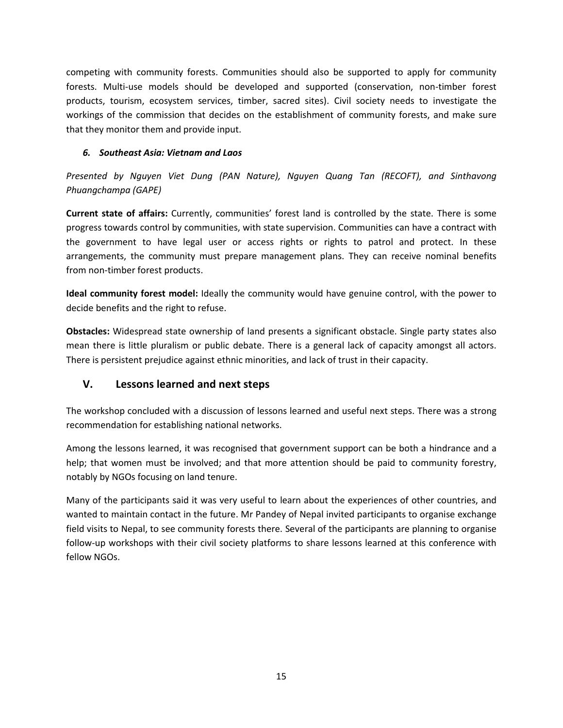competing with community forests. Communities should also be supported to apply for community forests. Multi-use models should be developed and supported (conservation, non-timber forest products, tourism, ecosystem services, timber, sacred sites). Civil society needs to investigate the workings of the commission that decides on the establishment of community forests, and make sure that they monitor them and provide input.

### *6. Southeast Asia: Vietnam and Laos*

*Presented by Nguyen Viet Dung (PAN Nature), Nguyen Quang Tan (RECOFT), and Sinthavong Phuangchampa (GAPE)*

**Current state of affairs:** Currently, communities' forest land is controlled by the state. There is some progress towards control by communities, with state supervision. Communities can have a contract with the government to have legal user or access rights or rights to patrol and protect. In these arrangements, the community must prepare management plans. They can receive nominal benefits from non-timber forest products.

**Ideal community forest model:** Ideally the community would have genuine control, with the power to decide benefits and the right to refuse.

**Obstacles:** Widespread state ownership of land presents a significant obstacle. Single party states also mean there is little pluralism or public debate. There is a general lack of capacity amongst all actors. There is persistent prejudice against ethnic minorities, and lack of trust in their capacity.

# **V. Lessons learned and next steps**

The workshop concluded with a discussion of lessons learned and useful next steps. There was a strong recommendation for establishing national networks.

Among the lessons learned, it was recognised that government support can be both a hindrance and a help; that women must be involved; and that more attention should be paid to community forestry, notably by NGOs focusing on land tenure.

Many of the participants said it was very useful to learn about the experiences of other countries, and wanted to maintain contact in the future. Mr Pandey of Nepal invited participants to organise exchange field visits to Nepal, to see community forests there. Several of the participants are planning to organise follow-up workshops with their civil society platforms to share lessons learned at this conference with fellow NGOs.